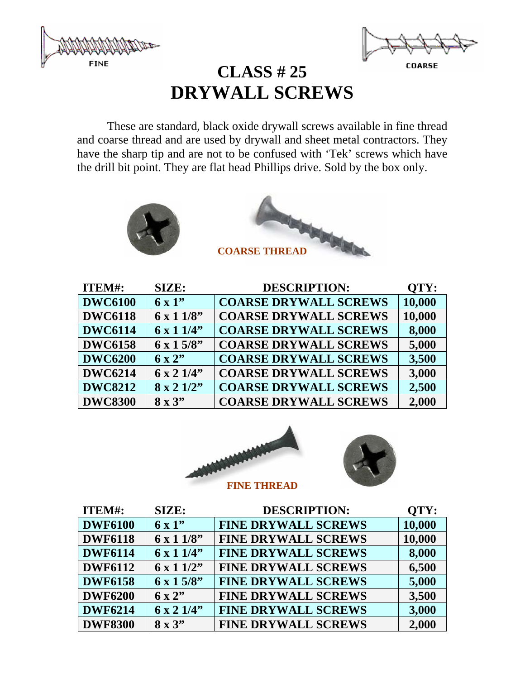



# **CLASS # 25 DRYWALL SCREWS**

 These are standard, black oxide drywall screws available in fine thread and coarse thread and are used by drywall and sheet metal contractors. They have the sharp tip and are not to be confused with 'Tek' screws which have the drill bit point. They are flat head Phillips drive. Sold by the box only.





| ITEM#:         | SIZE:                    | <b>DESCRIPTION:</b>          | QTY:   |
|----------------|--------------------------|------------------------------|--------|
| <b>DWC6100</b> | $6 \times 1$ "           | <b>COARSE DRYWALL SCREWS</b> | 10,000 |
| <b>DWC6118</b> | $6 \times 11/8$          | <b>COARSE DRYWALL SCREWS</b> | 10,000 |
| <b>DWC6114</b> | $6 \times 11/4$          | <b>COARSE DRYWALL SCREWS</b> | 8,000  |
| <b>DWC6158</b> | $6 \times 15/8$ "        | <b>COARSE DRYWALL SCREWS</b> | 5,000  |
| <b>DWC6200</b> | $6 \times 2$             | <b>COARSE DRYWALL SCREWS</b> | 3,500  |
| <b>DWC6214</b> | $6 \times 2 \frac{1}{4}$ | <b>COARSE DRYWALL SCREWS</b> | 3,000  |
| <b>DWC8212</b> | $8 \times 2 \frac{1}{2}$ | <b>COARSE DRYWALL SCREWS</b> | 2,500  |
| <b>DWC8300</b> | $8 \times 3"$            | <b>COARSE DRYWALL SCREWS</b> | 2,000  |





| ITEM#:         | SIZE:             | <b>DESCRIPTION:</b>        | OTY:   |
|----------------|-------------------|----------------------------|--------|
| <b>DWF6100</b> | $6 \times 1$ "    | <b>FINE DRYWALL SCREWS</b> | 10,000 |
| <b>DWF6118</b> | $6 \times 11/8$   | <b>FINE DRYWALL SCREWS</b> | 10,000 |
| <b>DWF6114</b> | $6 \times 11/4$ " | <b>FINE DRYWALL SCREWS</b> | 8,000  |
| <b>DWF6112</b> | $6 \times 11/2$ " | <b>FINE DRYWALL SCREWS</b> | 6,500  |
| <b>DWF6158</b> | $6 \times 15/8$ " | <b>FINE DRYWALL SCREWS</b> | 5,000  |
| <b>DWF6200</b> | $6 \times 2$ "    | <b>FINE DRYWALL SCREWS</b> | 3,500  |
| <b>DWF6214</b> | $6 \times 21/4$   | <b>FINE DRYWALL SCREWS</b> | 3,000  |
| <b>DWF8300</b> | $8 \times 3"$     | <b>FINE DRYWALL SCREWS</b> | 2,000  |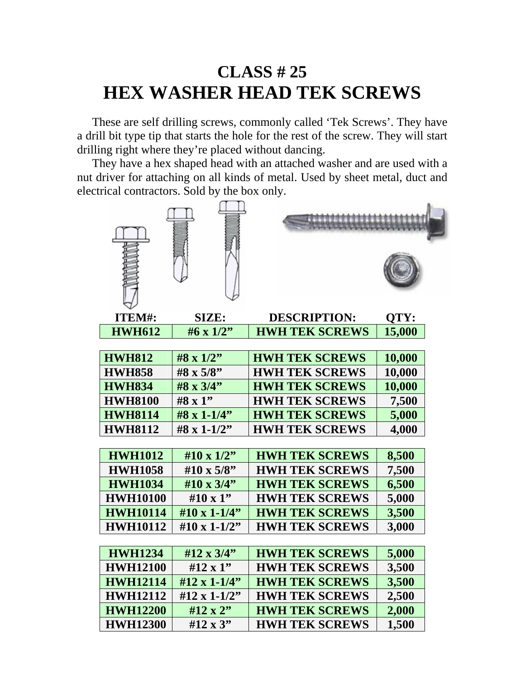# **CLASS # 25 HEX WASHER HEAD TEK SCREWS**

 These are self drilling screws, commonly called 'Tek Screws'. They have a drill bit type tip that starts the hole for the rest of the screw. They will start drilling right where they're placed without dancing.

 They have a hex shaped head with an attached washer and are used with a nut driver for attaching on all kinds of metal. Used by sheet metal, duct and electrical contractors. Sold by the box only.





| ITEM#:          | SIZE:                | <b>DESCRIPTION:</b>   | QTY:   |
|-----------------|----------------------|-----------------------|--------|
| <b>HWH612</b>   | #6 x $1/2$ "         | <b>HWH TEK SCREWS</b> | 15,000 |
|                 |                      |                       |        |
| <b>HWH812</b>   | $#8 \times 1/2"$     | <b>HWH TEK SCREWS</b> | 10,000 |
| <b>HWH858</b>   | #8 x 5/8"            | <b>HWH TEK SCREWS</b> | 10,000 |
| <b>HWH834</b>   | #8 x 3/4"            | <b>HWH TEK SCREWS</b> | 10,000 |
| <b>HWH8100</b>  | $#8 \times 1"$       | <b>HWH TEK SCREWS</b> | 7,500  |
| <b>HWH8114</b>  | $#8 \times 1 - 1/4"$ | <b>HWH TEK SCREWS</b> | 5,000  |
| <b>HWH8112</b>  | #8 x 1-1/2"          | <b>HWH TEK SCREWS</b> | 4,000  |
|                 |                      |                       |        |
| <b>HWH1012</b>  | #10 x $1/2$ "        | <b>HWH TEK SCREWS</b> | 8,500  |
| <b>HWH1058</b>  | #10 x $5/8$ "        | <b>HWH TEK SCREWS</b> | 7,500  |
| <b>HWH1034</b>  | #10 x 3/4"           | <b>HWH TEK SCREWS</b> | 6,500  |
| <b>HWH10100</b> | #10 x 1"             | <b>HWH TEK SCREWS</b> | 5,000  |
| <b>HWH10114</b> | #10 x 1-1/4"         | <b>HWH TEK SCREWS</b> | 3,500  |
| <b>HWH10112</b> | #10 x 1-1/2"         | <b>HWH TEK SCREWS</b> | 3,000  |
|                 |                      |                       |        |
| <b>HWH1234</b>  | #12 x 3/4"           | <b>HWH TEK SCREWS</b> | 5,000  |
| <b>HWH12100</b> | $#12 \times 1"$      | <b>HWH TEK SCREWS</b> | 3,500  |
| <b>HWH12114</b> | #12 x 1-1/4"         | <b>HWH TEK SCREWS</b> | 3,500  |
| <b>HWH12112</b> | #12 x 1-1/2"         | <b>HWH TEK SCREWS</b> | 2,500  |
| <b>HWH12200</b> | #12 x 2"             | <b>HWH TEK SCREWS</b> | 2,000  |
| <b>HWH12300</b> | $#12 \times 3"$      | <b>HWH TEK SCREWS</b> | 1,500  |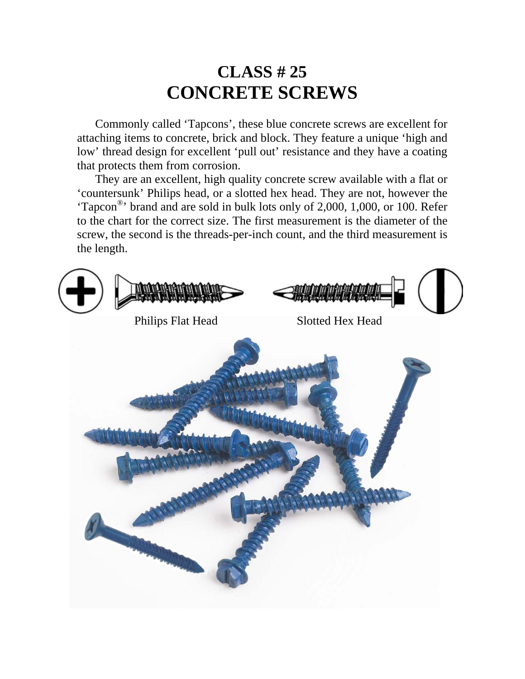## **CLASS # 25 CONCRETE SCREWS**

 Commonly called 'Tapcons', these blue concrete screws are excellent for attaching items to concrete, brick and block. They feature a unique 'high and low' thread design for excellent 'pull out' resistance and they have a coating that protects them from corrosion.

 They are an excellent, high quality concrete screw available with a flat or 'countersunk' Philips head, or a slotted hex head. They are not, however the 'Tapcon®' brand and are sold in bulk lots only of 2,000, 1,000, or 100. Refer to the chart for the correct size. The first measurement is the diameter of the screw, the second is the threads-per-inch count, and the third measurement is the length.

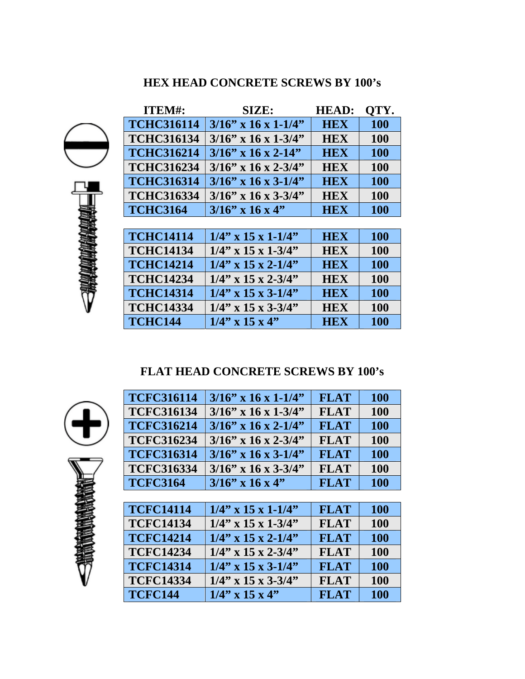#### **HEX HEAD CONCRETE SCREWS BY 100's**

| ITEM#:            | <b>SIZE:</b>           | <b>HEAD:</b> | OTY.       |
|-------------------|------------------------|--------------|------------|
| <b>TCHC316114</b> | $3/16$ " x 16 x 1-1/4" | <b>HEX</b>   | <b>100</b> |
| <b>TCHC316134</b> | $3/16$ " x 16 x 1-3/4" | <b>HEX</b>   | 100        |
| <b>TCHC316214</b> | $3/16$ " x 16 x 2-14"  | <b>HEX</b>   | <b>100</b> |
| <b>TCHC316234</b> | $3/16$ " x 16 x 2-3/4" | <b>HEX</b>   | 100        |
| <b>TCHC316314</b> | $3/16$ " x 16 x 3-1/4" | <b>HEX</b>   | 100        |
| <b>TCHC316334</b> | $3/16$ " x 16 x 3-3/4" | <b>HEX</b>   | <b>100</b> |
| <b>TCHC3164</b>   | $3/16$ " x 16 x 4"     | <b>HEX</b>   | 100        |
|                   |                        |              |            |
| <b>TCHC14114</b>  | $1/4$ " x 15 x 1-1/4"  | <b>HEX</b>   | <b>100</b> |
| <b>TCHC14134</b>  | $1/4$ " x 15 x 1-3/4"  | <b>HEX</b>   | 100        |
| <b>TCHC14214</b>  | $1/4$ " x 15 x 2-1/4"  | <b>HEX</b>   | <b>100</b> |
| <b>TCHC14234</b>  | $1/4$ " x 15 x 2-3/4"  | <b>HEX</b>   | <b>100</b> |
| <b>TCHC14314</b>  | $1/4$ " x 15 x 3-1/4"  | <b>HEX</b>   | 100        |
| <b>TCHC14334</b>  | $1/4$ " x 15 x 3-3/4"  | <b>HEX</b>   | 100        |
| <b>TCHC144</b>    | $1/4$ " x 15 x 4"      | <b>HEX</b>   | <b>100</b> |
|                   |                        |              |            |

#### **FLAT HEAD CONCRETE SCREWS BY 100's**



| <b>TCFC316114</b> | $3/16$ " x 16 x 1-1/4" | <b>FLAT</b> | <b>100</b> |
|-------------------|------------------------|-------------|------------|
| <b>TCFC316134</b> | $3/16$ " x 16 x 1-3/4" | <b>FLAT</b> | <b>100</b> |
| <b>TCFC316214</b> | $3/16$ " x 16 x 2-1/4" | <b>FLAT</b> | <b>100</b> |
| <b>TCFC316234</b> | $3/16$ " x 16 x 2-3/4" | <b>FLAT</b> | <b>100</b> |
| <b>TCFC316314</b> | $3/16$ " x 16 x 3-1/4" | <b>FLAT</b> | <b>100</b> |
| <b>TCFC316334</b> | $3/16$ " x 16 x 3-3/4" | <b>FLAT</b> | <b>100</b> |
| <b>TCFC3164</b>   | $3/16$ " x 16 x 4"     | <b>FLAT</b> | <b>100</b> |
|                   |                        |             |            |
| <b>TCFC14114</b>  | $1/4$ " x 15 x 1-1/4"  | <b>FLAT</b> | 100        |
| <b>TCFC14134</b>  | $1/4$ " x 15 x 1-3/4"  | <b>FLAT</b> | <b>100</b> |
| <b>TCFC14214</b>  | $1/4$ " x 15 x 2-1/4"  | <b>FLAT</b> | <b>100</b> |
| <b>TCFC14234</b>  | $1/4$ " x 15 x 2-3/4"  | <b>FLAT</b> | 100        |
| <b>TCFC14314</b>  | $1/4$ " x 15 x 3-1/4"  | <b>FLAT</b> | <b>100</b> |
| <b>TCFC14334</b>  | $1/4$ " x 15 x 3-3/4"  | <b>FLAT</b> | 100        |
| <b>TCFC144</b>    | $1/4$ " x 15 x 4"      | <b>FLAT</b> | <b>100</b> |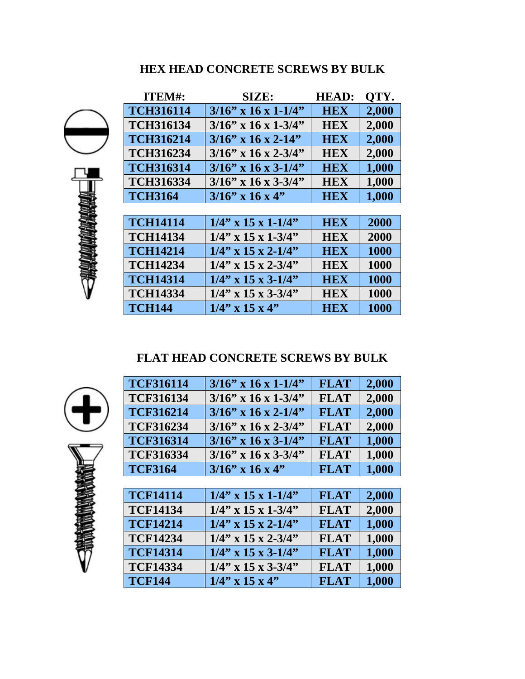#### **HEX HEAD CONCRETE SCREWS BY BULK**

| <b>ITEM#:</b>    | SIZE:                  | <b>HEAD:</b> | QTY.  |
|------------------|------------------------|--------------|-------|
| <b>TCH316114</b> | $3/16$ " x 16 x 1-1/4" | <b>HEX</b>   | 2,000 |
| <b>TCH316134</b> | $3/16$ " x 16 x 1-3/4" | <b>HEX</b>   | 2,000 |
| <b>TCH316214</b> | $3/16$ " x 16 x 2-14"  | <b>HEX</b>   | 2,000 |
| <b>TCH316234</b> | $3/16$ " x 16 x 2-3/4" | <b>HEX</b>   | 2,000 |
| <b>TCH316314</b> | $3/16$ " x 16 x 3-1/4" | <b>HEX</b>   | 1,000 |
| <b>TCH316334</b> | $3/16$ " x 16 x 3-3/4" | <b>HEX</b>   | 1,000 |
| <b>TCH3164</b>   | $3/16$ " x 16 x 4"     | <b>HEX</b>   | 1,000 |
|                  |                        |              |       |
| <b>TCH14114</b>  | $1/4$ " x 15 x 1-1/4"  | <b>HEX</b>   | 2000  |
| <b>TCH14134</b>  | $1/4$ " x 15 x 1-3/4"  | <b>HEX</b>   | 2000  |
| <b>TCH14214</b>  | $1/4$ " x 15 x 2-1/4"  | <b>HEX</b>   | 1000  |
| <b>TCH14234</b>  | $1/4$ " x 15 x 2-3/4"  | <b>HEX</b>   | 1000  |
| <b>TCH14314</b>  | $1/4$ " x 15 x 3-1/4"  | <b>HEX</b>   | 1000  |
| <b>TCH14334</b>  | $1/4$ " x 15 x 3-3/4"  | <b>HEX</b>   | 1000  |
| <b>TCH144</b>    | $1/4$ " x 15 x 4"      | <b>HEX</b>   | 1000  |

#### **FLAT HEAD CONCRETE SCREWS BY BULK**



| <b>TCF316114</b> | $3/16$ " x 16 x 1-1/4" | <b>FLAT</b> | 2,000 |
|------------------|------------------------|-------------|-------|
| <b>TCF316134</b> | $3/16$ " x 16 x 1-3/4" | <b>FLAT</b> | 2,000 |
| <b>TCF316214</b> | $3/16$ " x 16 x 2-1/4" | <b>FLAT</b> | 2,000 |
| <b>TCF316234</b> | $3/16$ " x 16 x 2-3/4" | <b>FLAT</b> | 2,000 |
| <b>TCF316314</b> | $3/16$ " x 16 x 3-1/4" | <b>FLAT</b> | 1,000 |
| <b>TCF316334</b> | $3/16$ " x 16 x 3-3/4" | <b>FLAT</b> | 1,000 |
| <b>TCF3164</b>   | $3/16$ " x 16 x 4"     | <b>FLAT</b> | 1,000 |
|                  |                        |             |       |
| <b>TCF14114</b>  | $1/4$ " x 15 x 1-1/4"  | <b>FLAT</b> | 2,000 |
| <b>TCF14134</b>  | $1/4$ " x 15 x 1-3/4"  | <b>FLAT</b> | 2,000 |
| <b>TCF14214</b>  | $1/4$ " x 15 x 2-1/4"  | <b>FLAT</b> | 1,000 |
| <b>TCF14234</b>  | $1/4$ " x 15 x 2-3/4"  | <b>FLAT</b> | 1,000 |
| <b>TCF14314</b>  | $1/4$ " x 15 x 3-1/4"  | <b>FLAT</b> | 1,000 |
| <b>TCF14334</b>  | $1/4$ " x 15 x 3-3/4"  | <b>FLAT</b> | 1,000 |
| <b>TCF144</b>    | $1/4$ " x 15 x 4"      | <b>FLAT</b> | 1,000 |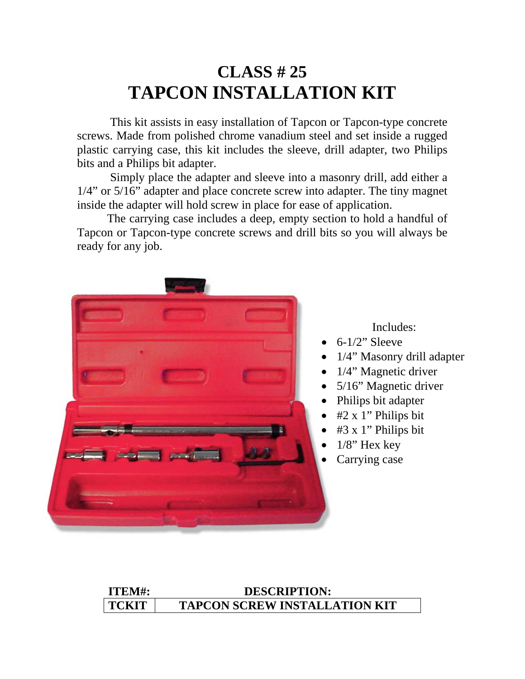# **CLASS # 25 TAPCON INSTALLATION KIT**

 This kit assists in easy installation of Tapcon or Tapcon-type concrete screws. Made from polished chrome vanadium steel and set inside a rugged plastic carrying case, this kit includes the sleeve, drill adapter, two Philips bits and a Philips bit adapter.

 Simply place the adapter and sleeve into a masonry drill, add either a 1/4" or 5/16" adapter and place concrete screw into adapter. The tiny magnet inside the adapter will hold screw in place for ease of application.

 The carrying case includes a deep, empty section to hold a handful of Tapcon or Tapcon-type concrete screws and drill bits so you will always be ready for any job.



Includes:

- $6-1/2$ " Sleeve
- 1/4" Masonry drill adapter
- 1/4" Magnetic driver
- 5/16" Magnetic driver
- Philips bit adapter
- #2 x 1" Philips bit
- #3 x 1" Philips bit
- $1/8$ " Hex key
- Carrying case

#### **ITEM#: DESCRIPTION: TCKIT TAPCON SCREW INSTALLATION KIT**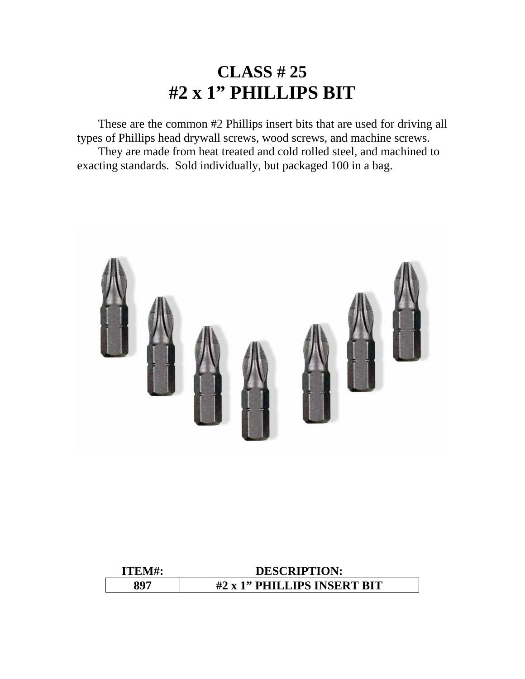#### **CLASS # 25 #2 x 1" PHILLIPS BIT**

 These are the common #2 Phillips insert bits that are used for driving all types of Phillips head drywall screws, wood screws, and machine screws. They are made from heat treated and cold rolled steel, and machined to exacting standards. Sold individually, but packaged 100 in a bag.



| ITEM# | <b>DESCRIPTION:</b>         |
|-------|-----------------------------|
| 207   | #2 x 1" PHILLIPS INSERT BIT |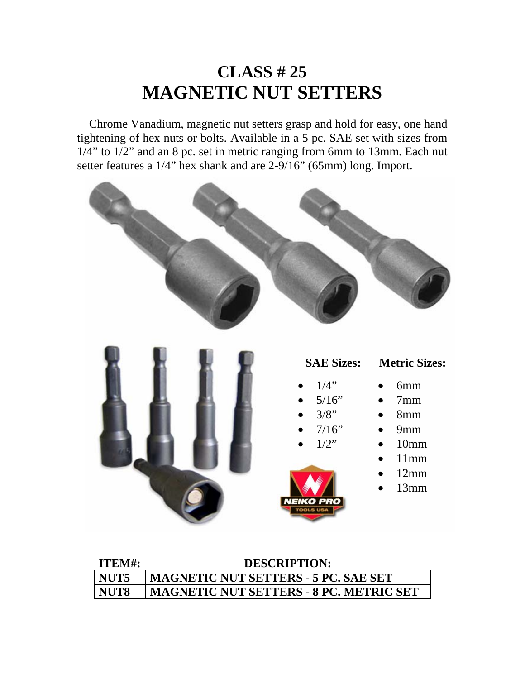# **CLASS # 25 MAGNETIC NUT SETTERS**

Chrome Vanadium, magnetic nut setters grasp and hold for easy, one hand tightening of hex nuts or bolts. Available in a 5 pc. SAE set with sizes from 1/4" to 1/2" and an 8 pc. set in metric ranging from 6mm to 13mm. Each nut setter features a 1/4" hex shank and are 2-9/16" (65mm) long. Import.



| ITEM#: | <b>DESCRIPTION:</b>                            |
|--------|------------------------------------------------|
| NUT5   | <b>MAGNETIC NUT SETTERS - 5 PC. SAE SET</b>    |
| NUT8   | <b>MAGNETIC NUT SETTERS - 8 PC. METRIC SET</b> |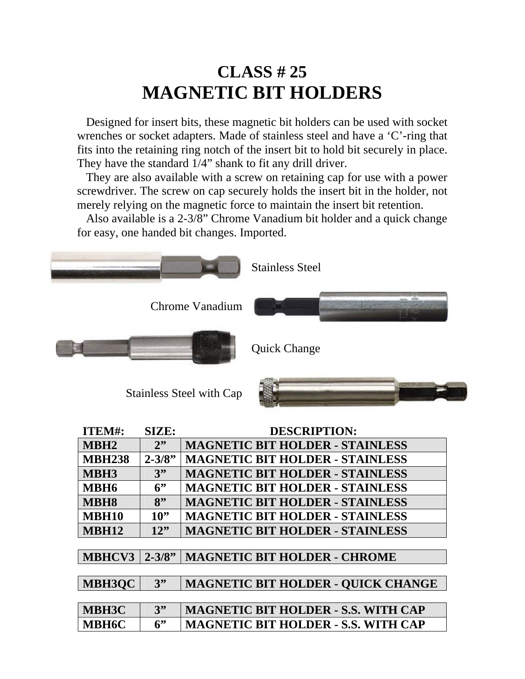# **CLASS # 25 MAGNETIC BIT HOLDERS**

 Designed for insert bits, these magnetic bit holders can be used with socket wrenches or socket adapters. Made of stainless steel and have a 'C'-ring that fits into the retaining ring notch of the insert bit to hold bit securely in place. They have the standard 1/4" shank to fit any drill driver.

 They are also available with a screw on retaining cap for use with a power screwdriver. The screw on cap securely holds the insert bit in the holder, not merely relying on the magnetic force to maintain the insert bit retention.

 Also available is a 2-3/8" Chrome Vanadium bit holder and a quick change for easy, one handed bit changes. Imported.



| ITEM#:           | SIZE:      | <b>DESCRIPTION:</b>                        |
|------------------|------------|--------------------------------------------|
| MBH <sub>2</sub> | 2"         | <b>MAGNETIC BIT HOLDER - STAINLESS</b>     |
| <b>MBH238</b>    | $2 - 3/8"$ | <b>MAGNETIC BIT HOLDER - STAINLESS</b>     |
| MBH3             | 3"         | <b>MAGNETIC BIT HOLDER - STAINLESS</b>     |
| MBH <sub>6</sub> | 6          | <b>MAGNETIC BIT HOLDER - STAINLESS</b>     |
| <b>MBH8</b>      | 8"         | <b>MAGNETIC BIT HOLDER - STAINLESS</b>     |
| <b>MBH10</b>     | $10$ "     | <b>MAGNETIC BIT HOLDER - STAINLESS</b>     |
| <b>MBH12</b>     | 12"        | <b>MAGNETIC BIT HOLDER - STAINLESS</b>     |
|                  |            |                                            |
| <b>MBHCV3</b>    | $2 - 3/8"$ | <b>MAGNETIC BIT HOLDER - CHROME</b>        |
|                  |            |                                            |
| <b>MBH3OC</b>    | 3"         | <b>MAGNETIC BIT HOLDER - QUICK CHANGE</b>  |
|                  |            |                                            |
| <b>MBH3C</b>     | 3"         | <b>MAGNETIC BIT HOLDER - S.S. WITH CAP</b> |
| <b>MBH6C</b>     | 6"         | <b>MAGNETIC BIT HOLDER - S.S. WITH CAP</b> |